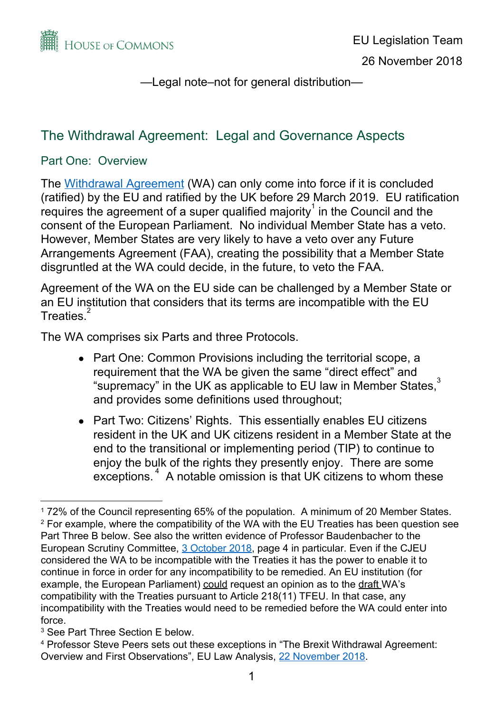

# The Withdrawal Agreement: Legal and Governance Aspects

#### Part One: Overview

The [Withdrawal](https://assets.publishing.service.gov.uk/government/uploads/system/uploads/attachment_data/file/759019/25_November_Agreement_on_the_withdrawal_of_the_United_Kingdom_of_Great_Britain_and_Northern_Ireland_from_the_European_Union_and_the_European_Atomic_Energy_Community.pdf) Agreement (WA) can only come into force if it is concluded (ratified) by the EU and ratified by the UK before 29 March 2019. EU ratification requires the agreement of a super qualified majority $1$  in the Council and the consent of the European Parliament. No individual Member State has a veto. However, Member States are very likely to have a veto over any Future Arrangements Agreement (FAA), creating the possibility that a Member State disgruntled at the WA could decide, in the future, to veto the FAA.

Agreement of the WA on the EU side can be challenged by a Member State or an EU institution that considers that its terms are incompatible with the EU Treaties. 2

The WA comprises six Parts and three Protocols.

- Part One: Common Provisions including the territorial scope, a requirement that the WA be given the same "direct effect" and "supremacy" in the UK as applicable to EU law in Member States, $3$ and provides some definitions used throughout;
- Part Two: Citizens' Rights. This essentially enables EU citizens resident in the UK and UK citizens resident in a Member State at the end to the transitional or implementing period (TIP) to continue to enjoy the bulk of the rights they presently enjoy. There are some exceptions. $4$  A notable omission is that UK citizens to whom these

<sup>1</sup> 72% of the Council representing 65% of the population. A minimum of 20 Member States. 2 For example, where the compatibility of the WA with the EU Treaties has been question see Part Three B below. See also the written evidence of Professor Baudenbacher to the European Scrutiny Committee, [3 October 2018,](http://data.parliament.uk/writtenevidence/committeeevidence.svc/evidencedocument/european-scrutiny-committee/dispute-resolution-and-enforcement-in-the-draft-withdrawal-agreement/written/91316.pdf) page 4 in particular. Even if the CJEU considered the WA to be incompatible with the Treaties it has the power to enable it to continue in force in order for any incompatibility to be remedied. An EU institution (for example, the European Parliament) could request an opinion as to the draft WA's compatibility with the Treaties pursuant to Article 218(11) TFEU. In that case, any incompatibility with the Treaties would need to be remedied before the WA could enter into force.

<sup>3</sup> See Part Three Section E below.

<sup>4</sup> Professor Steve Peers sets out these exceptions in "The Brexit Withdrawal Agreement: Overview and First Observations", EU Law Analysis, [22 November 2018](http://eulawanalysis.blogspot.com/2018/11/the-brexit-withdrawal-agreement.html).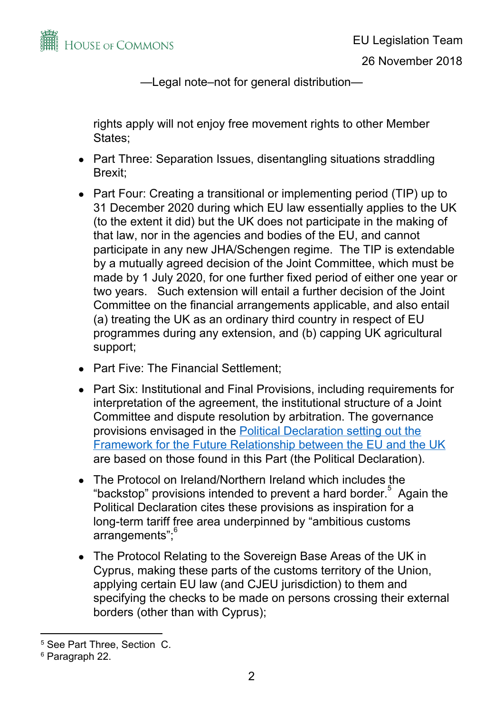

rights apply will not enjoy free movement rights to other Member States;

- Part Three: Separation Issues, disentangling situations straddling Brexit;
- Part Four: Creating a transitional or implementing period (TIP) up to 31 December 2020 during which EU law essentially applies to the UK (to the extent it did) but the UK does not participate in the making of that law, nor in the agencies and bodies of the EU, and cannot participate in any new JHA/Schengen regime. The TIP is extendable by a mutually agreed decision of the Joint Committee, which must be made by 1 July 2020, for one further fixed period of either one year or two years. Such extension will entail a further decision of the Joint Committee on the financial arrangements applicable, and also entail (a) treating the UK as an ordinary third country in respect of EU programmes during any extension, and (b) capping UK agricultural support;
- Part Five: The Financial Settlement;
- Part Six: Institutional and Final Provisions, including requirements for interpretation of the agreement, the institutional structure of a Joint Committee and dispute resolution by arbitration. The governance provisions envisaged in the Political [Declaration](https://assets.publishing.service.gov.uk/government/uploads/system/uploads/attachment_data/file/759021/25_November_Political_Declaration_setting_out_the_framework_for_the_future_relationship_between_the_European_Union_and_the_United_Kingdom__.pdf) setting out the Framework for the Future [Relationship](https://assets.publishing.service.gov.uk/government/uploads/system/uploads/attachment_data/file/759021/25_November_Political_Declaration_setting_out_the_framework_for_the_future_relationship_between_the_European_Union_and_the_United_Kingdom__.pdf) between the EU and the UK are based on those found in this Part (the Political Declaration).
- The Protocol on Ireland/Northern Ireland which includes the "backstop" provisions intended to prevent a hard border. $5$  Again the Political Declaration cites these provisions as inspiration for a long-term tariff free area underpinned by "ambitious customs arrangements"; 6
- The Protocol Relating to the Sovereign Base Areas of the UK in Cyprus, making these parts of the customs territory of the Union, applying certain EU law (and CJEU jurisdiction) to them and specifying the checks to be made on persons crossing their external borders (other than with Cyprus);

<sup>5</sup> See Part Three, Section C.

<sup>6</sup> Paragraph 22.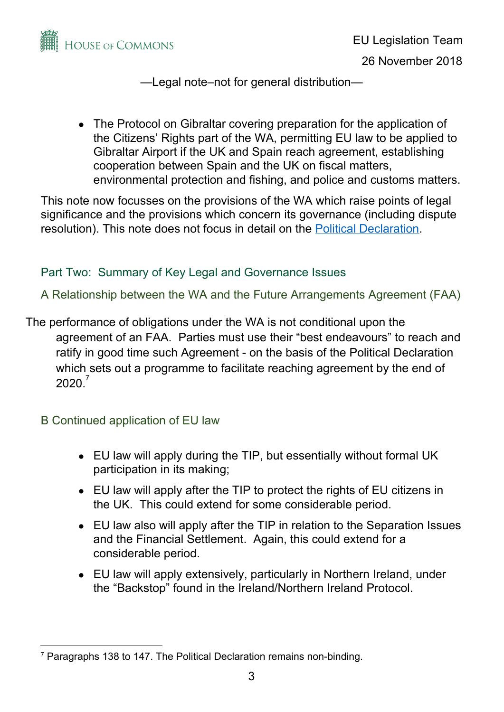

• The Protocol on Gibraltar covering preparation for the application of the Citizens' Rights part of the WA, permitting EU law to be applied to Gibraltar Airport if the UK and Spain reach agreement, establishing cooperation between Spain and the UK on fiscal matters, environmental protection and fishing, and police and customs matters.

This note now focusses on the provisions of the WA which raise points of legal significance and the provisions which concern its governance (including dispute resolution). This note does not focus in detail on the Political [Declaration.](https://assets.publishing.service.gov.uk/government/uploads/system/uploads/attachment_data/file/759021/25_November_Political_Declaration_setting_out_the_framework_for_the_future_relationship_between_the_European_Union_and_the_United_Kingdom__.pdf)

## Part Two: Summary of Key Legal and Governance Issues

A Relationship between the WA and the Future Arrangements Agreement (FAA)

The performance of obligations under the WA is not conditional upon the agreement of an FAA. Parties must use their "best endeavours" to reach and ratify in good time such Agreement - on the basis of the Political Declaration which sets out a programme to facilitate reaching agreement by the end of  $2020.<sup>7</sup>$ 

B Continued application of EU law

- EU law will apply during the TIP, but essentially without formal UK participation in its making;
- EU law will apply after the TIP to protect the rights of EU citizens in the UK. This could extend for some considerable period.
- EU law also will apply after the TIP in relation to the Separation Issues and the Financial Settlement. Again, this could extend for a considerable period.
- EU law will apply extensively, particularly in Northern Ireland, under the "Backstop" found in the Ireland/Northern Ireland Protocol.

<sup>7</sup> Paragraphs 138 to 147. The Political Declaration remains non-binding.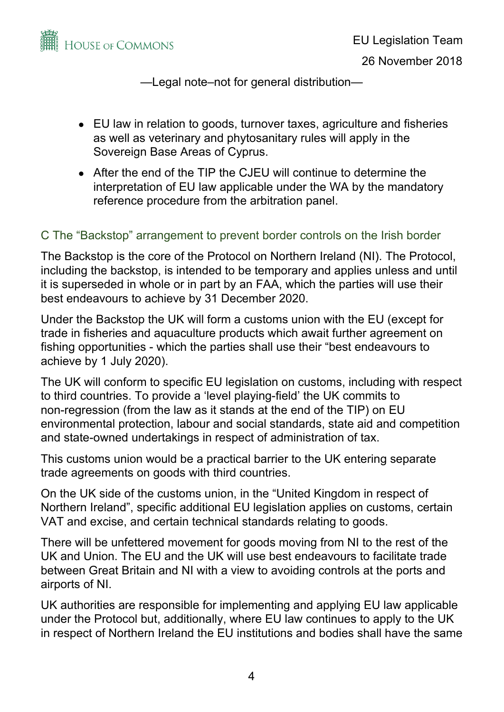

- EU law in relation to goods, turnover taxes, agriculture and fisheries as well as veterinary and phytosanitary rules will apply in the Sovereign Base Areas of Cyprus.
- After the end of the TIP the CJEU will continue to determine the interpretation of EU law applicable under the WA by the mandatory reference procedure from the arbitration panel.

### C The "Backstop" arrangement to prevent border controls on the Irish border

The Backstop is the core of the Protocol on Northern Ireland (NI). The Protocol, including the backstop, is intended to be temporary and applies unless and until it is superseded in whole or in part by an FAA, which the parties will use their best endeavours to achieve by 31 December 2020.

Under the Backstop the UK will form a customs union with the EU (except for trade in fisheries and aquaculture products which await further agreement on fishing opportunities - which the parties shall use their "best endeavours to achieve by 1 July 2020).

The UK will conform to specific EU legislation on customs, including with respect to third countries. To provide a 'level playing-field' the UK commits to non-regression (from the law as it stands at the end of the TIP) on EU environmental protection, labour and social standards, state aid and competition and state-owned undertakings in respect of administration of tax.

This customs union would be a practical barrier to the UK entering separate trade agreements on goods with third countries.

On the UK side of the customs union, in the "United Kingdom in respect of Northern Ireland", specific additional EU legislation applies on customs, certain VAT and excise, and certain technical standards relating to goods.

There will be unfettered movement for goods moving from NI to the rest of the UK and Union. The EU and the UK will use best endeavours to facilitate trade between Great Britain and NI with a view to avoiding controls at the ports and airports of NI.

UK authorities are responsible for implementing and applying EU law applicable under the Protocol but, additionally, where EU law continues to apply to the UK in respect of Northern Ireland the EU institutions and bodies shall have the same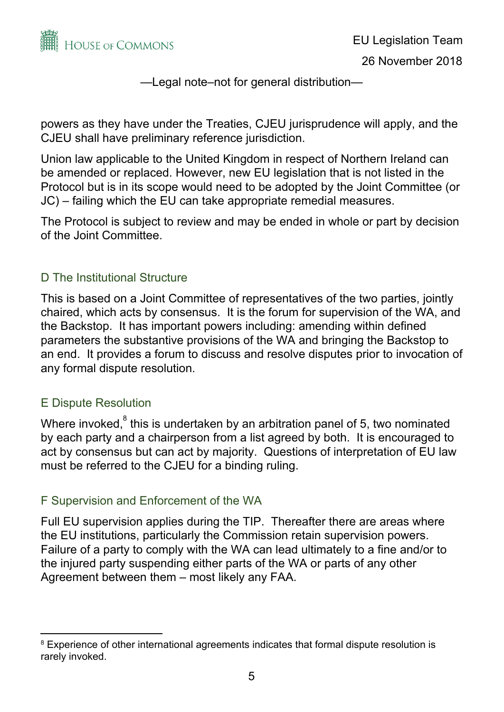

powers as they have under the Treaties, CJEU jurisprudence will apply, and the CJEU shall have preliminary reference jurisdiction.

Union law applicable to the United Kingdom in respect of Northern Ireland can be amended or replaced. However, new EU legislation that is not listed in the Protocol but is in its scope would need to be adopted by the Joint Committee (or JC) – failing which the EU can take appropriate remedial measures.

The Protocol is subject to review and may be ended in whole or part by decision of the Joint Committee.

### D The Institutional Structure

This is based on a Joint Committee of representatives of the two parties, jointly chaired, which acts by consensus. It is the forum for supervision of the WA, and the Backstop. It has important powers including: amending within defined parameters the substantive provisions of the WA and bringing the Backstop to an end. It provides a forum to discuss and resolve disputes prior to invocation of any formal dispute resolution.

### E Dispute Resolution

Where invoked, ${}^{8}$  this is undertaken by an arbitration panel of 5, two nominated by each party and a chairperson from a list agreed by both. It is encouraged to act by consensus but can act by majority. Questions of interpretation of EU law must be referred to the CJEU for a binding ruling.

### F Supervision and Enforcement of the WA

Full EU supervision applies during the TIP. Thereafter there are areas where the EU institutions, particularly the Commission retain supervision powers. Failure of a party to comply with the WA can lead ultimately to a fine and/or to the injured party suspending either parts of the WA or parts of any other Agreement between them – most likely any FAA.

<sup>&</sup>lt;sup>8</sup> Experience of other international agreements indicates that formal dispute resolution is rarely invoked.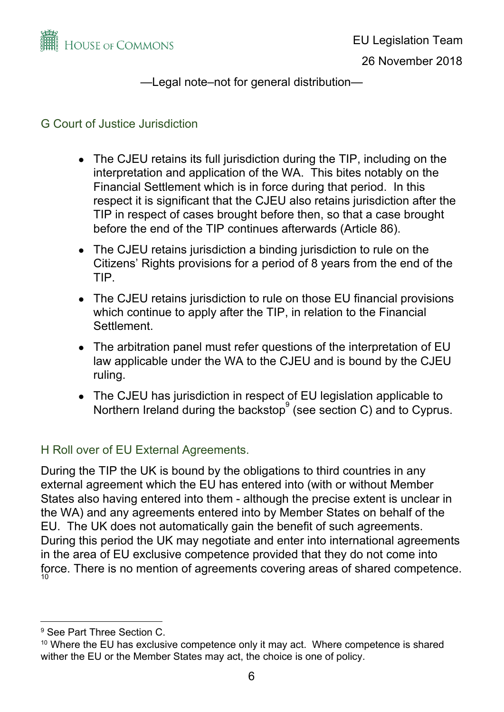

### G Court of Justice Jurisdiction

- The CJEU retains its full jurisdiction during the TIP, including on the interpretation and application of the WA. This bites notably on the Financial Settlement which is in force during that period. In this respect it is significant that the CJEU also retains jurisdiction after the TIP in respect of cases brought before then, so that a case brought before the end of the TIP continues afterwards (Article 86).
- The CJEU retains jurisdiction a binding jurisdiction to rule on the Citizens' Rights provisions for a period of 8 years from the end of the TIP.
- The CJEU retains jurisdiction to rule on those EU financial provisions which continue to apply after the TIP, in relation to the Financial Settlement.
- The arbitration panel must refer questions of the interpretation of EU law applicable under the WA to the CJEU and is bound by the CJEU ruling.
- The CJEU has jurisdiction in respect of EU legislation applicable to Northern Ireland during the backstop (see section C) and to Cyprus.

# H Roll over of EU External Agreements.

During the TIP the UK is bound by the obligations to third countries in any external agreement which the EU has entered into (with or without Member States also having entered into them - although the precise extent is unclear in the WA) and any agreements entered into by Member States on behalf of the EU. The UK does not automatically gain the benefit of such agreements. During this period the UK may negotiate and enter into international agreements in the area of EU exclusive competence provided that they do not come into force. There is no mention of agreements covering areas of shared competence. 10

<sup>9</sup> See Part Three Section C.

<sup>&</sup>lt;sup>10</sup> Where the EU has exclusive competence only it may act. Where competence is shared wither the EU or the Member States may act, the choice is one of policy.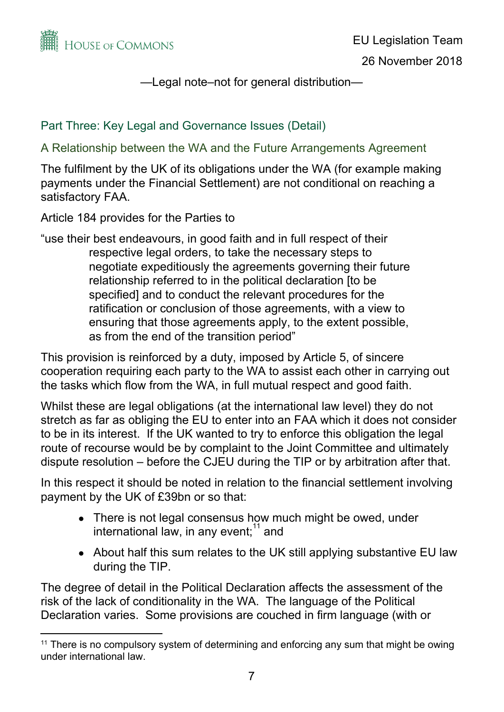

### Part Three: Key Legal and Governance Issues (Detail)

A Relationship between the WA and the Future Arrangements Agreement

The fulfilment by the UK of its obligations under the WA (for example making payments under the Financial Settlement) are not conditional on reaching a satisfactory FAA.

Article 184 provides for the Parties to

"use their best endeavours, in good faith and in full respect of their respective legal orders, to take the necessary steps to negotiate expeditiously the agreements governing their future relationship referred to in the political declaration [to be specified] and to conduct the relevant procedures for the ratification or conclusion of those agreements, with a view to ensuring that those agreements apply, to the extent possible, as from the end of the transition period"

This provision is reinforced by a duty, imposed by Article 5, of sincere cooperation requiring each party to the WA to assist each other in carrying out the tasks which flow from the WA, in full mutual respect and good faith.

Whilst these are legal obligations (at the international law level) they do not stretch as far as obliging the EU to enter into an FAA which it does not consider to be in its interest. If the UK wanted to try to enforce this obligation the legal route of recourse would be by complaint to the Joint Committee and ultimately dispute resolution – before the CJEU during the TIP or by arbitration after that.

In this respect it should be noted in relation to the financial settlement involving payment by the UK of £39bn or so that:

- There is not legal consensus how much might be owed, under international law, in any event; $11$  and
- About half this sum relates to the UK still applying substantive EU law during the TIP.

The degree of detail in the Political Declaration affects the assessment of the risk of the lack of conditionality in the WA. The language of the Political Declaration varies. Some provisions are couched in firm language (with or

<sup>&</sup>lt;sup>11</sup> There is no compulsory system of determining and enforcing any sum that might be owing under international law.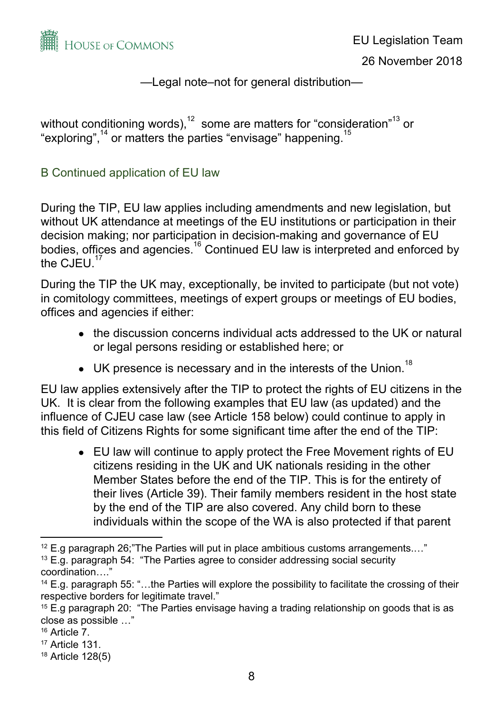

without conditioning words), $^{12}$  some are matters for "consideration" $^{13}$  or "exploring", $14$  or matters the parties "envisage" happening.<sup>15</sup>

### B Continued application of EU law

During the TIP, EU law applies including amendments and new legislation, but without UK attendance at meetings of the EU institutions or participation in their decision making; nor participation in decision-making and governance of EU bodies, offices and agencies.<sup>16</sup> Continued EU law is interpreted and enforced by the  $CJEU.<sup>17</sup>$ 

During the TIP the UK may, exceptionally, be invited to participate (but not vote) in comitology committees, meetings of expert groups or meetings of EU bodies, offices and agencies if either:

- the discussion concerns individual acts addressed to the UK or natural or legal persons residing or established here; or
- $\bullet$  UK presence is necessary and in the interests of the Union.<sup>18</sup>

EU law applies extensively after the TIP to protect the rights of EU citizens in the UK. It is clear from the following examples that EU law (as updated) and the influence of CJEU case law (see Article 158 below) could continue to apply in this field of Citizens Rights for some significant time after the end of the TIP:

• EU law will continue to apply protect the Free Movement rights of EU citizens residing in the UK and UK nationals residing in the other Member States before the end of the TIP. This is for the entirety of their lives (Article 39). Their family members resident in the host state by the end of the TIP are also covered. Any child born to these individuals within the scope of the WA is also protected if that parent

 $12$  E.g paragraph 26; The Parties will put in place ambitious customs arrangements...."

<sup>&</sup>lt;sup>13</sup> E.g. paragraph 54: "The Parties agree to consider addressing social security coordination…."

<sup>&</sup>lt;sup>14</sup> E.g. paragraph 55: "...the Parties will explore the possibility to facilitate the crossing of their respective borders for legitimate travel."

<sup>&</sup>lt;sup>15</sup> E.g paragraph 20: "The Parties envisage having a trading relationship on goods that is as close as possible …"

<sup>16</sup> Article 7.

<sup>17</sup> Article 131.

<sup>18</sup> Article 128(5)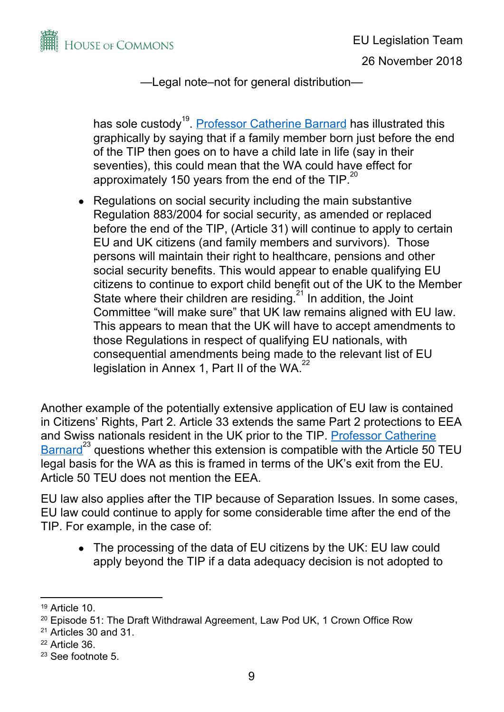

has sole custody<sup>19</sup>. <u>Professor [Catherine](https://audioboom.com/posts/7091973-ep-51-brexit-the-draft-withdrawal-agreement) Barnard</u> has illustrated this graphically by saying that if a family member born just before the end of the TIP then goes on to have a child late in life (say in their seventies), this could mean that the WA could have effect for approximately 150 years from the end of the TIP. $^{20}$ 

• Regulations on social security including the main substantive Regulation 883/2004 for social security, as amended or replaced before the end of the TIP, (Article 31) will continue to apply to certain EU and UK citizens (and family members and survivors). Those persons will maintain their right to healthcare, pensions and other social security benefits. This would appear to enable qualifying EU citizens to continue to export child benefit out of the UK to the Member State where their children are residing. $21$  In addition, the Joint Committee "will make sure" that UK law remains aligned with EU law. This appears to mean that the UK will have to accept amendments to those Regulations in respect of qualifying EU nationals, with consequential amendments being made to the relevant list of EU legislation in Annex 1, Part II of the WA.<sup>22</sup>

Another example of the potentially extensive application of EU law is contained in Citizens' Rights, Part 2. Article 33 extends the same Part 2 protections to EEA and Swiss nationals resident in the UK prior to the TIP. Professor [Catherine](https://audioboom.com/posts/7091973-ep-51-brexit-the-draft-withdrawal-agreement)  $Barnard^{23}$  $Barnard^{23}$  questions whether this extension is compatible with the Article 50 TEU legal basis for the WA as this is framed in terms of the UK's exit from the EU. Article 50 TEU does not mention the EEA.

EU law also applies after the TIP because of Separation Issues. In some cases, EU law could continue to apply for some considerable time after the end of the TIP. For example, in the case of:

• The processing of the data of EU citizens by the UK: EU law could apply beyond the TIP if a data adequacy decision is not adopted to

<sup>19</sup> Article 10.

<sup>&</sup>lt;sup>20</sup> Episode 51: The Draft Withdrawal Agreement, Law Pod UK, 1 Crown Office Row

 $21$  Articles 30 and 31.

<sup>22</sup> Article 36.

<sup>23</sup> See footnote 5.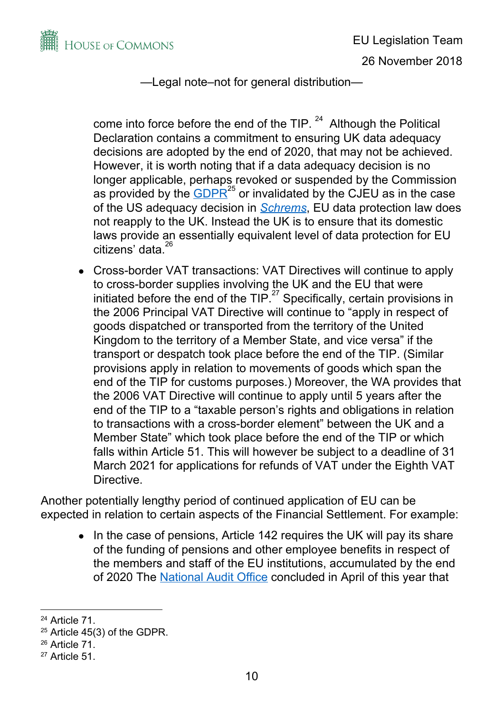

come into force before the end of the TIP.  $24$  Although the Political Declaration contains a commitment to ensuring UK data adequacy decisions are adopted by the end of 2020, that may not be achieved. However, it is worth noting that if a data adequacy decision is no longer applicable, perhaps revoked or suspended by the Commission as provided by the  $\overline{GDPR}^{25}$  $\overline{GDPR}^{25}$  $\overline{GDPR}^{25}$  or invalidated by the CJEU as in the case of the US adequacy decision in *[Schrems](https://eur-lex.europa.eu/legal-content/EN/TXT/?uri=CELEX%3A62014CJ0362)*, EU data protection law does not reapply to the UK. Instead the UK is to ensure that its domestic laws provide an essentially equivalent level of data protection for EU citizens' data. 26

Cross-border VAT transactions: VAT Directives will continue to apply to cross-border supplies involving the UK and the EU that were initiated before the end of the TIP. $27$  Specifically, certain provisions in the 2006 Principal VAT Directive will continue to "apply in respect of goods dispatched or transported from the territory of the United Kingdom to the territory of a Member State, and vice versa" if the transport or despatch took place before the end of the TIP. (Similar provisions apply in relation to movements of goods which span the end of the TIP for customs purposes.) Moreover, the WA provides that the 2006 VAT Directive will continue to apply until 5 years after the end of the TIP to a "taxable person's rights and obligations in relation to transactions with a cross-border element" between the UK and a Member State" which took place before the end of the TIP or which falls within Article 51. This will however be subject to a deadline of 31 March 2021 for applications for refunds of VAT under the Eighth VAT Directive.

Another potentially lengthy period of continued application of EU can be expected in relation to certain aspects of the Financial Settlement. For example:

• In the case of pensions, Article 142 requires the UK will pay its share of the funding of pensions and other employee benefits in respect of the members and staff of the EU institutions, accumulated by the end of 2020 The [National](https://www.nao.org.uk/wp-content/uploads/2018/04/Exiting-the-EU-The-financial-settlement.pdf) Audit Office concluded in April of this year that

<sup>24</sup> Article 71.

 $25$  Article 45(3) of the GDPR.

<sup>26</sup> Article 71.

<sup>27</sup> Article 51.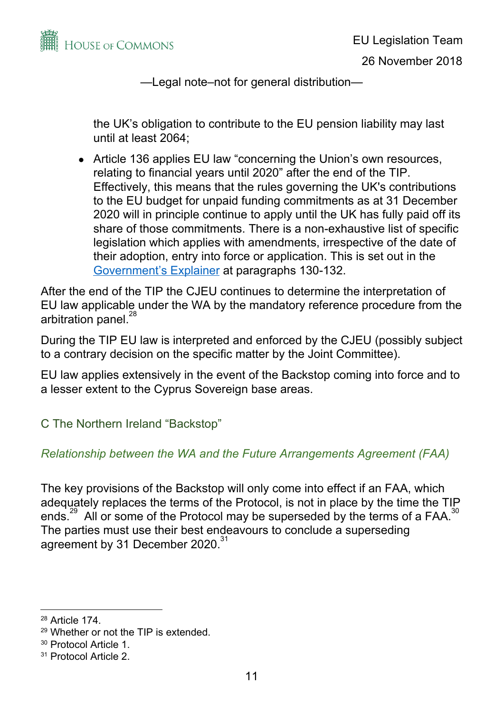

the UK's obligation to contribute to the EU pension liability may last until at least 2064;

• Article 136 applies EU law "concerning the Union's own resources, relating to financial years until 2020" after the end of the TIP. Effectively, this means that the rules governing the UK's contributions to the EU budget for unpaid funding commitments as at 31 December 2020 will in principle continue to apply until the UK has fully paid off its share of those commitments. There is a non-exhaustive list of specific legislation which applies with amendments, irrespective of the date of their adoption, entry into force or application. This is set out in the [Government's](https://assets.publishing.service.gov.uk/government/uploads/system/uploads/attachment_data/file/756376/14_November_Explainer_for_the_agreement_on_the_withdrawal_of_the_United_Kingdom_of_Great_Britain_and_Northern_Ireland_from_the_European_Union___1_.pdf) Explainer at paragraphs 130-132.

After the end of the TIP the CJEU continues to determine the interpretation of EU law applicable under the WA by the mandatory reference procedure from the arbitration panel.<sup>28</sup>

During the TIP EU law is interpreted and enforced by the CJEU (possibly subject to a contrary decision on the specific matter by the Joint Committee).

EU law applies extensively in the event of the Backstop coming into force and to a lesser extent to the Cyprus Sovereign base areas.

C The Northern Ireland "Backstop"

### *Relationship between the WA and the Future Arrangements Agreement (FAA)*

The key provisions of the Backstop will only come into effect if an FAA, which adequately replaces the terms of the Protocol, is not in place by the time the TIP ends.<sup>29</sup> All or some of the Protocol may be superseded by the terms of a FAA.<sup>30</sup> The parties must use their best endeavours to conclude a superseding agreement by 31 December 2020.<sup>31</sup>

<sup>28</sup> Article 174.

<sup>29</sup> Whether or not the TIP is extended.

<sup>30</sup> Protocol Article 1.

<sup>31</sup> Protocol Article 2.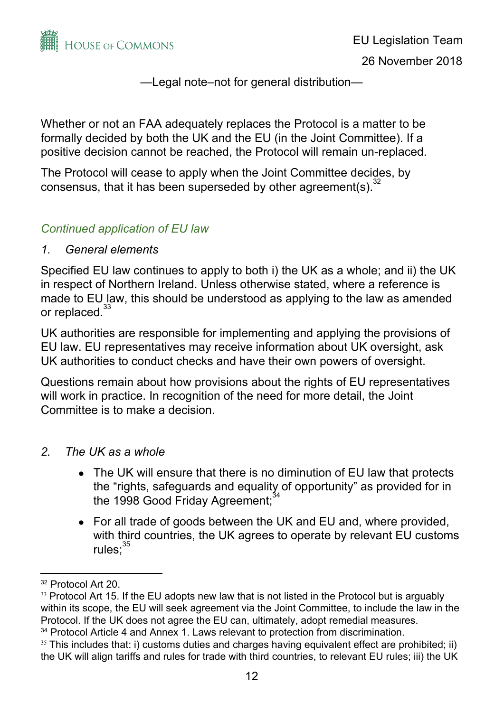

Whether or not an FAA adequately replaces the Protocol is a matter to be formally decided by both the UK and the EU (in the Joint Committee). If a positive decision cannot be reached, the Protocol will remain un-replaced.

The Protocol will cease to apply when the Joint Committee decides, by consensus, that it has been superseded by other agreement(s). $32$ 

### *Continued application of EU law*

### *1. General elements*

Specified EU law continues to apply to both i) the UK as a whole; and ii) the UK in respect of Northern Ireland. Unless otherwise stated, where a reference is made to EU law, this should be understood as applying to the law as amended or replaced.<sup>33</sup>

UK authorities are responsible for implementing and applying the provisions of EU law. EU representatives may receive information about UK oversight, ask UK authorities to conduct checks and have their own powers of oversight.

Questions remain about how provisions about the rights of EU representatives will work in practice. In recognition of the need for more detail, the Joint Committee is to make a decision.

### *2. The UK as a whole*

- The UK will ensure that there is no diminution of EU law that protects the "rights, safeguards and equality of opportunity" as provided for in the 1998 Good Friday Agreement;<sup>34</sup>
- For all trade of goods between the UK and EU and, where provided, with third countries, the UK agrees to operate by relevant EU customs rules;<sup>35</sup>

<sup>32</sup> Protocol Art 20.

<sup>33</sup> Protocol Art 15. If the EU adopts new law that is not listed in the Protocol but is arguably within its scope, the EU will seek agreement via the Joint Committee, to include the law in the Protocol. If the UK does not agree the EU can, ultimately, adopt remedial measures. <sup>34</sup> Protocol Article 4 and Annex 1. Laws relevant to protection from discrimination.

 $35$  This includes that: i) customs duties and charges having equivalent effect are prohibited; ii)

the UK will align tariffs and rules for trade with third countries, to relevant EU rules; iii) the UK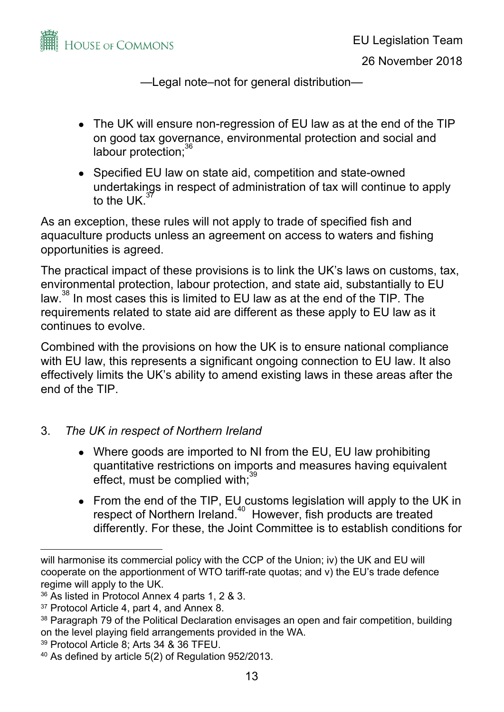

- The UK will ensure non-regression of EU law as at the end of the TIP on good tax governance, environmental protection and social and labour protection;<sup>36</sup>
- Specified EU law on state aid, competition and state-owned undertakings in respect of administration of tax will continue to apply to the UK. 37

As an exception, these rules will not apply to trade of specified fish and aquaculture products unless an agreement on access to waters and fishing opportunities is agreed.

The practical impact of these provisions is to link the UK's laws on customs, tax, environmental protection, labour protection, and state aid, substantially to EU law. $^{38}$  In most cases this is limited to EU law as at the end of the TIP. The requirements related to state aid are different as these apply to EU law as it continues to evolve.

Combined with the provisions on how the UK is to ensure national compliance with EU law, this represents a significant ongoing connection to EU law. It also effectively limits the UK's ability to amend existing laws in these areas after the end of the TIP.

### 3. *The UK in respect of Northern Ireland*

- Where goods are imported to NI from the EU, EU law prohibiting quantitative restrictions on imports and measures having equivalent effect, must be complied with;<sup>39</sup>
- From the end of the TIP, EU customs legislation will apply to the UK in respect of Northern Ireland. $40$  However, fish products are treated differently. For these, the Joint Committee is to establish conditions for

will harmonise its commercial policy with the CCP of the Union; iv) the UK and EU will cooperate on the apportionment of WTO tariff-rate quotas; and v) the EU's trade defence regime will apply to the UK.

<sup>36</sup> As listed in Protocol Annex 4 parts 1, 2 & 3.

<sup>37</sup> Protocol Article 4, part 4, and Annex 8.

<sup>&</sup>lt;sup>38</sup> Paragraph 79 of the Political Declaration envisages an open and fair competition, building on the level playing field arrangements provided in the WA.

<sup>39</sup> Protocol Article 8; Arts 34 & 36 TFEU.

<sup>40</sup> As defined by article 5(2) of Regulation 952/2013.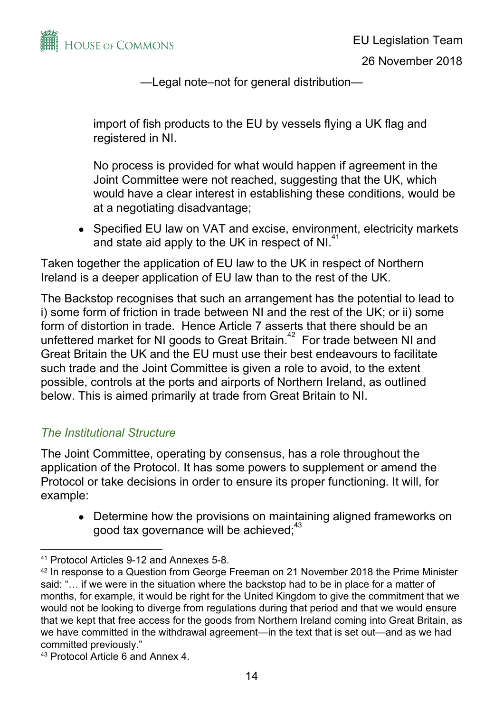

import of fish products to the EU by vessels flying a UK flag and registered in NI.

No process is provided for what would happen if agreement in the Joint Committee were not reached, suggesting that the UK, which would have a clear interest in establishing these conditions, would be at a negotiating disadvantage;

• Specified EU law on VAT and excise, environment, electricity markets and state aid apply to the UK in respect of NI. $41$ 

Taken together the application of EU law to the UK in respect of Northern Ireland is a deeper application of EU law than to the rest of the UK.

The Backstop recognises that such an arrangement has the potential to lead to i) some form of friction in trade between NI and the rest of the UK; or ii) some form of distortion in trade. Hence Article 7 asserts that there should be an unfettered market for NI goods to Great Britain. $42$  For trade between NI and Great Britain the UK and the EU must use their best endeavours to facilitate such trade and the Joint Committee is given a role to avoid, to the extent possible, controls at the ports and airports of Northern Ireland, as outlined below. This is aimed primarily at trade from Great Britain to NI.

### *The Institutional Structure*

The Joint Committee, operating by consensus, has a role throughout the application of the Protocol. It has some powers to supplement or amend the Protocol or take decisions in order to ensure its proper functioning. It will, for example:

• Determine how the provisions on maintaining aligned frameworks on good tax governance will be achieved;<sup>43</sup>

<sup>41</sup> Protocol Articles 9-12 and Annexes 5-8.

<sup>&</sup>lt;sup>42</sup> In response to a Question from George Freeman on 21 November 2018 the Prime Minister said: "… if we were in the situation where the backstop had to be in place for a matter of months, for example, it would be right for the United Kingdom to give the commitment that we would not be looking to diverge from regulations during that period and that we would ensure that we kept that free access for the goods from Northern Ireland coming into Great Britain, as we have committed in the withdrawal agreement—in the text that is set out—and as we had committed previously."

<sup>43</sup> Protocol Article 6 and Annex 4.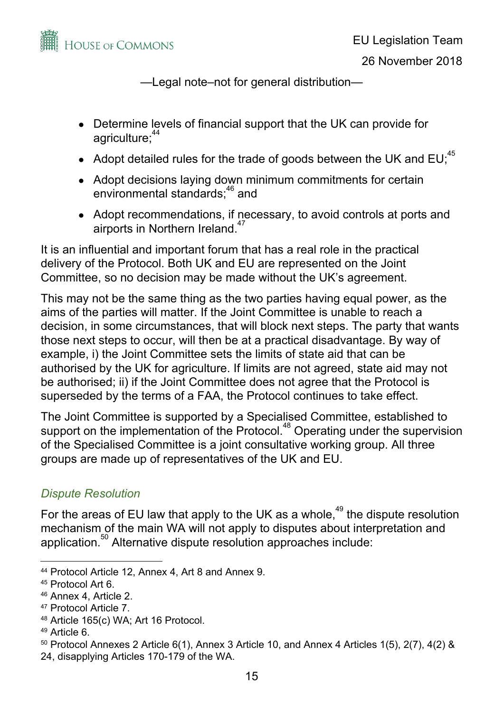

26 November 2018

—Legal note–not for general distribution—

- Determine levels of financial support that the UK can provide for agriculture;<sup>44</sup>
- Adopt detailed rules for the trade of goods between the UK and  $EU_i^{45}$
- Adopt decisions laying down minimum commitments for certain environmental standards;<sup>46</sup> and
- Adopt recommendations, if necessary, to avoid controls at ports and airports in Northern Ireland.<sup>47</sup>

It is an influential and important forum that has a real role in the practical delivery of the Protocol. Both UK and EU are represented on the Joint Committee, so no decision may be made without the UK's agreement.

This may not be the same thing as the two parties having equal power, as the aims of the parties will matter. If the Joint Committee is unable to reach a decision, in some circumstances, that will block next steps. The party that wants those next steps to occur, will then be at a practical disadvantage. By way of example, i) the Joint Committee sets the limits of state aid that can be authorised by the UK for agriculture. If limits are not agreed, state aid may not be authorised; ii) if the Joint Committee does not agree that the Protocol is superseded by the terms of a FAA, the Protocol continues to take effect.

The Joint Committee is supported by a Specialised Committee, established to support on the implementation of the Protocol. $48$  Operating under the supervision of the Specialised Committee is a joint consultative working group. All three groups are made up of representatives of the UK and EU.

# *Dispute Resolution*

For the areas of EU law that apply to the UK as a whole,<sup>49</sup> the dispute resolution mechanism of the main WA will not apply to disputes about interpretation and application. $50$  Alternative dispute resolution approaches include:

48 Article 165(c) WA; Art 16 Protocol.

<sup>44</sup> Protocol Article 12, Annex 4, Art 8 and Annex 9.

<sup>45</sup> Protocol Art 6.

<sup>46</sup> Annex 4, Article 2.

<sup>47</sup> Protocol Article 7.

<sup>49</sup> Article 6.

 $50$  Protocol Annexes 2 Article 6(1), Annex 3 Article 10, and Annex 4 Articles 1(5), 2(7), 4(2) &

<sup>24,</sup> disapplying Articles 170-179 of the WA.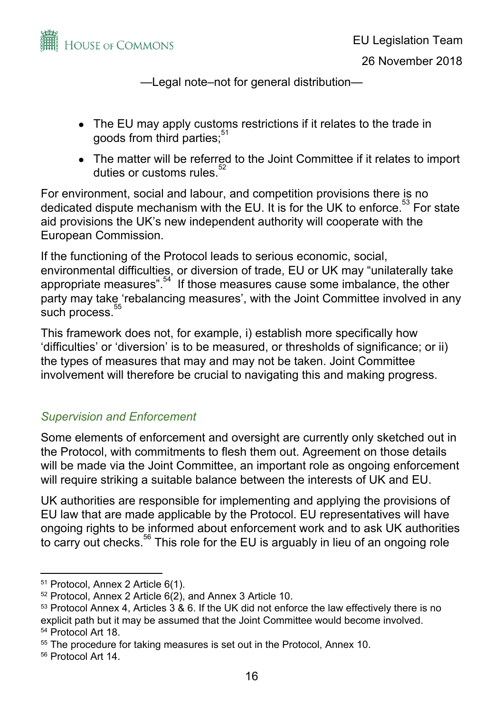

- The EU may apply customs restrictions if it relates to the trade in goods from third parties;<sup>51</sup>
- The matter will be referred to the Joint Committee if it relates to import duties or customs rules.<sup>52</sup>

For environment, social and labour, and competition provisions there is no dedicated dispute mechanism with the EU. It is for the UK to enforce.<sup>53</sup> For state aid provisions the UK's new independent authority will cooperate with the European Commission.

If the functioning of the Protocol leads to serious economic, social, environmental difficulties, or diversion of trade, EU or UK may "unilaterally take appropriate measures".  $54$  If those measures cause some imbalance, the other party may take 'rebalancing measures', with the Joint Committee involved in any such process.<sup>55</sup>

This framework does not, for example, i) establish more specifically how 'difficulties' or 'diversion' is to be measured, or thresholds of significance; or ii) the types of measures that may and may not be taken. Joint Committee involvement will therefore be crucial to navigating this and making progress.

# *Supervision and Enforcement*

Some elements of enforcement and oversight are currently only sketched out in the Protocol, with commitments to flesh them out. Agreement on those details will be made via the Joint Committee, an important role as ongoing enforcement will require striking a suitable balance between the interests of UK and EU.

UK authorities are responsible for implementing and applying the provisions of EU law that are made applicable by the Protocol. EU representatives will have ongoing rights to be informed about enforcement work and to ask UK authorities to carry out checks. $56$  This role for the EU is arguably in lieu of an ongoing role

<sup>51</sup> Protocol, Annex 2 Article 6(1).

<sup>52</sup> Protocol, Annex 2 Article 6(2), and Annex 3 Article 10.

<sup>&</sup>lt;sup>53</sup> Protocol Annex 4, Articles 3 & 6. If the UK did not enforce the law effectively there is no explicit path but it may be assumed that the Joint Committee would become involved. 54 Protocol Art 18.

<sup>55</sup> The procedure for taking measures is set out in the Protocol, Annex 10.

<sup>56</sup> Protocol Art 14.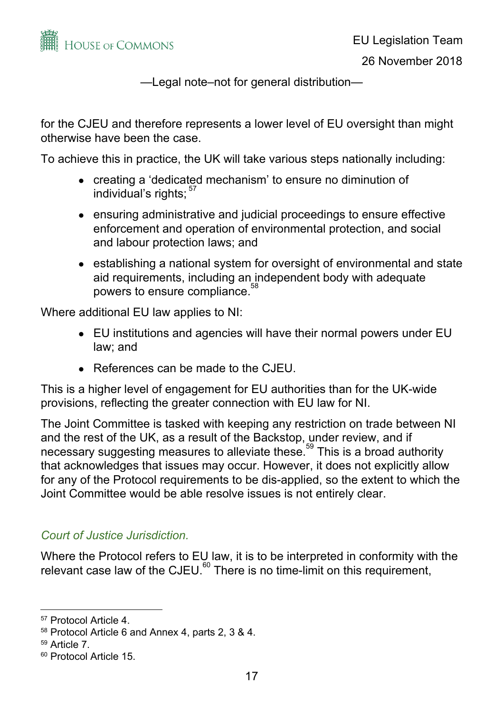

for the CJEU and therefore represents a lower level of EU oversight than might otherwise have been the case.

To achieve this in practice, the UK will take various steps nationally including:

- creating a 'dedicated mechanism' to ensure no diminution of individual's rights; 57
- ensuring administrative and judicial proceedings to ensure effective enforcement and operation of environmental protection, and social and labour protection laws; and
- establishing a national system for oversight of environmental and state aid requirements, including an independent body with adequate powers to ensure compliance. 58

Where additional EU law applies to NI:

- EU institutions and agencies will have their normal powers under EU law; and
- References can be made to the CJEU.

This is a higher level of engagement for EU authorities than for the UK-wide provisions, reflecting the greater connection with EU law for NI.

The Joint Committee is tasked with keeping any restriction on trade between NI and the rest of the UK, as a result of the Backstop, under review, and if necessary suggesting measures to alleviate these.<sup>59</sup> This is a broad authority that acknowledges that issues may occur. However, it does not explicitly allow for any of the Protocol requirements to be dis-applied, so the extent to which the Joint Committee would be able resolve issues is not entirely clear.

# *Court of Justice Jurisdiction.*

Where the Protocol refers to EU law, it is to be interpreted in conformity with the relevant case law of the CJEU. $^{60}$  There is no time-limit on this requirement,

<sup>57</sup> Protocol Article 4.

<sup>58</sup> Protocol Article 6 and Annex 4, parts 2, 3 & 4.

<sup>59</sup> Article 7.

<sup>60</sup> Protocol Article 15.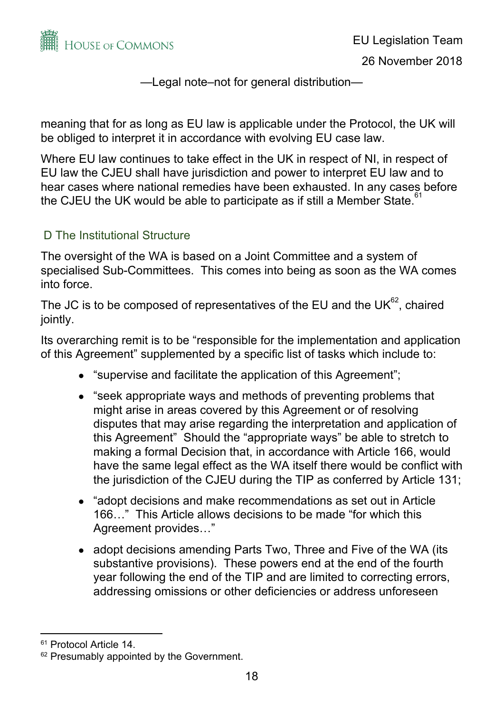

meaning that for as long as EU law is applicable under the Protocol, the UK will be obliged to interpret it in accordance with evolving EU case law.

Where EU law continues to take effect in the UK in respect of NI, in respect of EU law the CJEU shall have jurisdiction and power to interpret EU law and to hear cases where national remedies have been exhausted. In any cases before the CJEU the UK would be able to participate as if still a Member State.<sup>61</sup>

## D The Institutional Structure

The oversight of the WA is based on a Joint Committee and a system of specialised Sub-Committees. This comes into being as soon as the WA comes into force.

The JC is to be composed of representatives of the EU and the UK $^{62}$ , chaired jointly.

Its overarching remit is to be "responsible for the implementation and application of this Agreement" supplemented by a specific list of tasks which include to:

- "supervise and facilitate the application of this Agreement";
- "seek appropriate ways and methods of preventing problems that might arise in areas covered by this Agreement or of resolving disputes that may arise regarding the interpretation and application of this Agreement" Should the "appropriate ways" be able to stretch to making a formal Decision that, in accordance with Article 166, would have the same legal effect as the WA itself there would be conflict with the jurisdiction of the CJEU during the TIP as conferred by Article 131;
- "adopt decisions and make recommendations as set out in Article 166…" This Article allows decisions to be made "for which this Agreement provides…"
- adopt decisions amending Parts Two, Three and Five of the WA (its substantive provisions). These powers end at the end of the fourth year following the end of the TIP and are limited to correcting errors, addressing omissions or other deficiencies or address unforeseen

<sup>61</sup> Protocol Article 14.

<sup>&</sup>lt;sup>62</sup> Presumably appointed by the Government.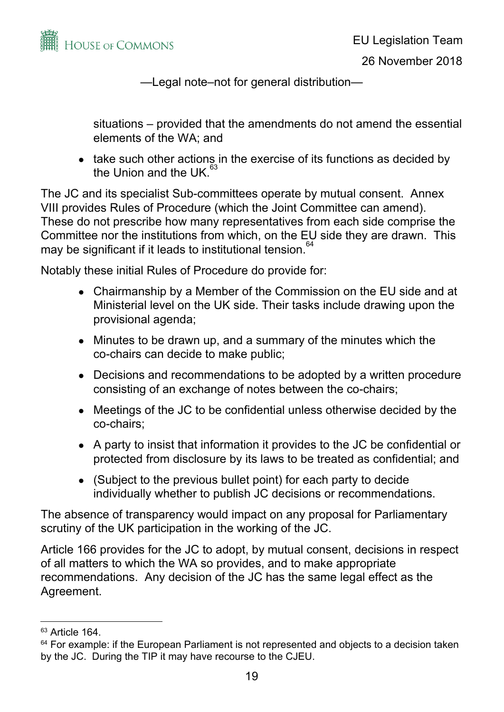

situations – provided that the amendments do not amend the essential elements of the WA; and

• take such other actions in the exercise of its functions as decided by the Union and the UK.<sup>63</sup>

The JC and its specialist Sub-committees operate by mutual consent. Annex VIII provides Rules of Procedure (which the Joint Committee can amend). These do not prescribe how many representatives from each side comprise the Committee nor the institutions from which, on the EU side they are drawn. This may be significant if it leads to institutional tension. 64

Notably these initial Rules of Procedure do provide for:

- Chairmanship by a Member of the Commission on the EU side and at Ministerial level on the UK side. Their tasks include drawing upon the provisional agenda;
- Minutes to be drawn up, and a summary of the minutes which the co-chairs can decide to make public;
- Decisions and recommendations to be adopted by a written procedure consisting of an exchange of notes between the co-chairs;
- Meetings of the JC to be confidential unless otherwise decided by the co-chairs;
- A party to insist that information it provides to the JC be confidential or protected from disclosure by its laws to be treated as confidential; and
- (Subject to the previous bullet point) for each party to decide individually whether to publish JC decisions or recommendations.

The absence of transparency would impact on any proposal for Parliamentary scrutiny of the UK participation in the working of the JC.

Article 166 provides for the JC to adopt, by mutual consent, decisions in respect of all matters to which the WA so provides, and to make appropriate recommendations. Any decision of the JC has the same legal effect as the Agreement.

<sup>63</sup> Article 164.

<sup>&</sup>lt;sup>64</sup> For example: if the European Parliament is not represented and objects to a decision taken by the JC. During the TIP it may have recourse to the CJEU.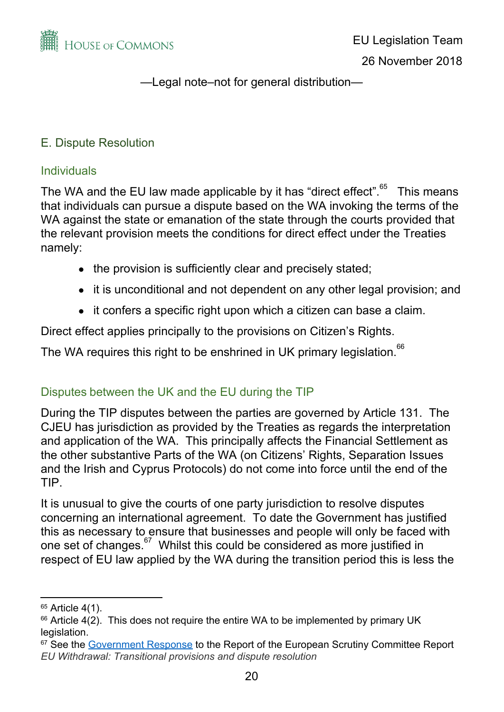

## E. Dispute Resolution

#### **Individuals**

The WA and the EU law made applicable by it has "direct effect". $^{65}$  This means that individuals can pursue a dispute based on the WA invoking the terms of the WA against the state or emanation of the state through the courts provided that the relevant provision meets the conditions for direct effect under the Treaties namely:

- the provision is sufficiently clear and precisely stated;
- it is unconditional and not dependent on any other legal provision; and
- it confers a specific right upon which a citizen can base a claim.

Direct effect applies principally to the provisions on Citizen's Rights.

The WA requires this right to be enshrined in UK primary legislation.<sup>66</sup>

# Disputes between the UK and the EU during the TIP

During the TIP disputes between the parties are governed by Article 131. The CJEU has jurisdiction as provided by the Treaties as regards the interpretation and application of the WA. This principally affects the Financial Settlement as the other substantive Parts of the WA (on Citizens' Rights, Separation Issues and the Irish and Cyprus Protocols) do not come into force until the end of the TIP.

It is unusual to give the courts of one party jurisdiction to resolve disputes concerning an international agreement. To date the Government has justified this as necessary to ensure that businesses and people will only be faced with one set of changes.<sup>67</sup> Whilst this could be considered as more justified in respect of EU law applied by the WA during the transition period this is less the

<sup>65</sup> Article 4(1).

 $66$  Article 4(2). This does not require the entire WA to be implemented by primary UK legislation.

<sup>&</sup>lt;sup>67</sup> See the [Government Response](https://publications.parliament.uk/pa/cm201719/cmselect/cmeuleg/763/76302.htm) to the Report of the European Scrutiny Committee Report *EU Withdrawal: Transitional provisions and dispute resolution*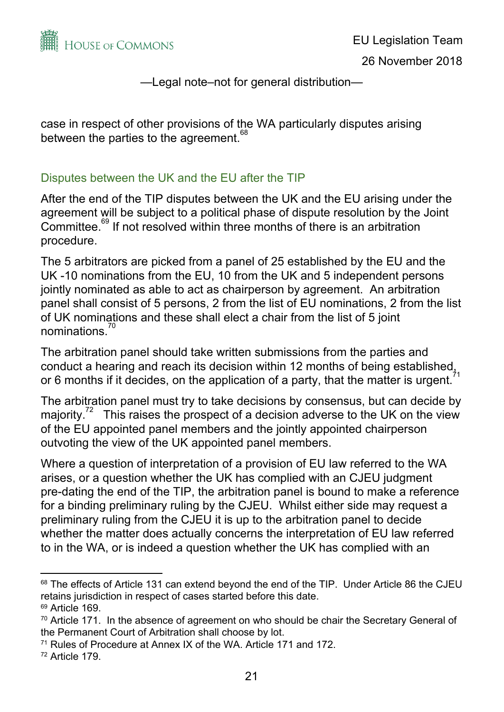

case in respect of other provisions of the WA particularly disputes arising between the parties to the agreement.<sup>68</sup>

### Disputes between the UK and the EU after the TIP

After the end of the TIP disputes between the UK and the EU arising under the agreement will be subject to a political phase of dispute resolution by the Joint Committee.<sup>69</sup> If not resolved within three months of there is an arbitration procedure.

The 5 arbitrators are picked from a panel of 25 established by the EU and the UK -10 nominations from the EU, 10 from the UK and 5 independent persons jointly nominated as able to act as chairperson by agreement. An arbitration panel shall consist of 5 persons, 2 from the list of EU nominations, 2 from the list of UK nominations and these shall elect a chair from the list of 5 joint nominations. 70

The arbitration panel should take written submissions from the parties and conduct a hearing and reach its decision within 12 months of being established, or 6 months if it decides, on the application of a party, that the matter is urgent.

The arbitration panel must try to take decisions by consensus, but can decide by majority.<sup>72</sup> This raises the prospect of a decision adverse to the UK on the view of the EU appointed panel members and the jointly appointed chairperson outvoting the view of the UK appointed panel members.

Where a question of interpretation of a provision of EU law referred to the WA arises, or a question whether the UK has complied with an CJEU judgment pre-dating the end of the TIP, the arbitration panel is bound to make a reference for a binding preliminary ruling by the CJEU. Whilst either side may request a preliminary ruling from the CJEU it is up to the arbitration panel to decide whether the matter does actually concerns the interpretation of EU law referred to in the WA, or is indeed a question whether the UK has complied with an

<sup>&</sup>lt;sup>68</sup> The effects of Article 131 can extend beyond the end of the TIP. Under Article 86 the CJEU retains jurisdiction in respect of cases started before this date.

<sup>69</sup> Article 169.

 $70$  Article 171. In the absence of agreement on who should be chair the Secretary General of the Permanent Court of Arbitration shall choose by lot.

<sup>71</sup> Rules of Procedure at Annex IX of the WA. Article 171 and 172.

<sup>72</sup> Article 179.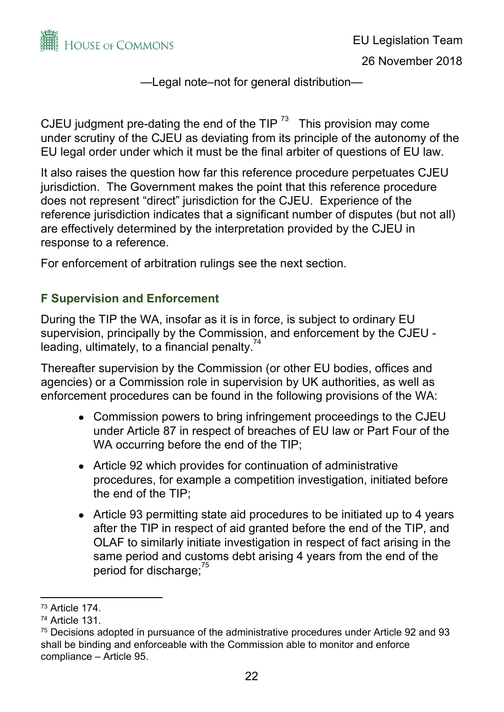

CJEU judgment pre-dating the end of the TIP  $^{73}$  This provision may come under scrutiny of the CJEU as deviating from its principle of the autonomy of the EU legal order under which it must be the final arbiter of questions of EU law.

It also raises the question how far this reference procedure perpetuates CJEU jurisdiction. The Government makes the point that this reference procedure does not represent "direct" jurisdiction for the CJEU. Experience of the reference jurisdiction indicates that a significant number of disputes (but not all) are effectively determined by the interpretation provided by the CJEU in response to a reference.

For enforcement of arbitration rulings see the next section.

# **F Supervision and Enforcement**

During the TIP the WA, insofar as it is in force, is subject to ordinary EU supervision, principally by the Commission, and enforcement by the CJEU leading, ultimately, to a financial penalty.<sup>74</sup>

Thereafter supervision by the Commission (or other EU bodies, offices and agencies) or a Commission role in supervision by UK authorities, as well as enforcement procedures can be found in the following provisions of the WA:

- Commission powers to bring infringement proceedings to the CJEU under Article 87 in respect of breaches of EU law or Part Four of the WA occurring before the end of the TIP;
- Article 92 which provides for continuation of administrative procedures, for example a competition investigation, initiated before the end of the TIP;
- Article 93 permitting state aid procedures to be initiated up to 4 years after the TIP in respect of aid granted before the end of the TIP, and OLAF to similarly initiate investigation in respect of fact arising in the same period and customs debt arising 4 years from the end of the period for discharge;<sup>75</sup>

<sup>73</sup> Article 174.

<sup>74</sup> Article 131.

<sup>&</sup>lt;sup>75</sup> Decisions adopted in pursuance of the administrative procedures under Article 92 and 93 shall be binding and enforceable with the Commission able to monitor and enforce compliance – Article 95.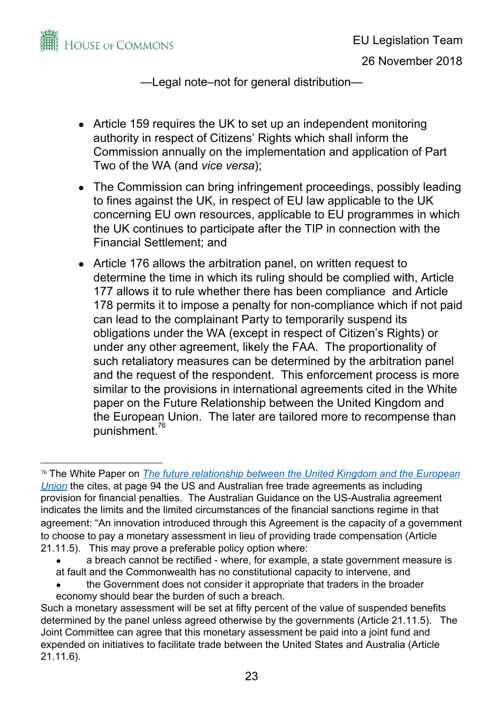

- Article 159 requires the UK to set up an independent monitoring authority in respect of Citizens' Rights which shall inform the Commission annually on the implementation and application of Part Two of the WA (and *vice versa*);
- The Commission can bring infringement proceedings, possibly leading to fines against the UK, in respect of EU law applicable to the UK concerning EU own resources, applicable to EU programmes in which the UK continues to participate after the TIP in connection with the Financial Settlement; and
- Article 176 allows the arbitration panel, on written request to determine the time in which its ruling should be complied with, Article 177 allows it to rule whether there has been compliance and Article 178 permits it to impose a penalty for non-compliance which if not paid can lead to the complainant Party to temporarily suspend its obligations under the WA (except in respect of Citizen's Rights) or under any other agreement, likely the FAA. The proportionality of such retaliatory measures can be determined by the arbitration panel and the request of the respondent. This enforcement process is more similar to the provisions in international agreements cited in the White paper on the Future Relationship between the United Kingdom and the European Union. The later are tailored more to recompense than punishment. 76

- a breach cannot be rectified where, for example, a state government measure is at fault and the Commonwealth has no constitutional capacity to intervene, and
- the Government does not consider it appropriate that traders in the broader economy should bear the burden of such a breach.

<sup>76</sup> The White Paper on *[The future relationship between the United Kingdom and the European](https://assets.publishing.service.gov.uk/government/uploads/system/uploads/attachment_data/file/725288/The_future_relationship_between_the_United_Kingdom_and_the_European_Union.pdf) [Union](https://assets.publishing.service.gov.uk/government/uploads/system/uploads/attachment_data/file/725288/The_future_relationship_between_the_United_Kingdom_and_the_European_Union.pdf)* the cites, at page 94 the US and Australian free trade agreements as including provision for financial penalties. The Australian Guidance on the US-Australia agreement indicates the limits and the limited circumstances of the financial sanctions regime in that agreement: "An innovation introduced through this Agreement is the capacity of a government to choose to pay a monetary assessment in lieu of providing trade compensation (Article 21.11.5). This may prove a preferable policy option where:

Such a monetary assessment will be set at fifty percent of the value of suspended benefits determined by the panel unless agreed otherwise by the governments (Article 21.11.5). The Joint Committee can agree that this monetary assessment be paid into a joint fund and expended on initiatives to facilitate trade between the United States and Australia (Article 21.11.6).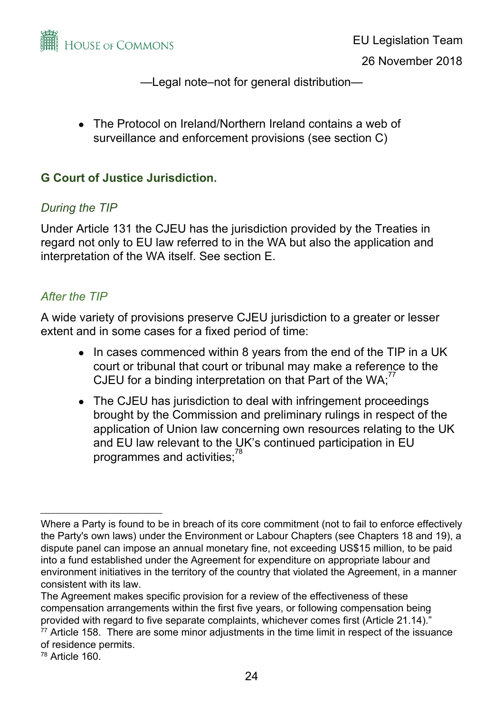

• The Protocol on Ireland/Northern Ireland contains a web of surveillance and enforcement provisions (see section C)

## **G Court of Justice Jurisdiction.**

## *During the TIP*

Under Article 131 the CJEU has the jurisdiction provided by the Treaties in regard not only to EU law referred to in the WA but also the application and interpretation of the WA itself. See section E.

## *After the TIP*

A wide variety of provisions preserve CJEU jurisdiction to a greater or lesser extent and in some cases for a fixed period of time:

- In cases commenced within 8 years from the end of the TIP in a UK court or tribunal that court or tribunal may make a reference to the CJEU for a binding interpretation on that Part of the WA; $^{77}$
- The CJEU has jurisdiction to deal with infringement proceedings brought by the Commission and preliminary rulings in respect of the application of Union law concerning own resources relating to the UK and EU law relevant to the UK's continued participation in EU programmes and activities;<sup>78</sup>

Where a Party is found to be in breach of its core commitment (not to fail to enforce effectively the Party's own laws) under the Environment or Labour Chapters (see Chapters 18 and 19), a dispute panel can impose an annual monetary fine, not exceeding US\$15 million, to be paid into a fund established under the Agreement for expenditure on appropriate labour and environment initiatives in the territory of the country that violated the Agreement, in a manner consistent with its law.

The Agreement makes specific provision for a review of the effectiveness of these compensation arrangements within the first five years, or following compensation being provided with regard to five separate complaints, whichever comes first (Article 21.14)."

<sup>&</sup>lt;sup>77</sup> Article 158. There are some minor adjustments in the time limit in respect of the issuance of residence permits.

<sup>78</sup> Article 160.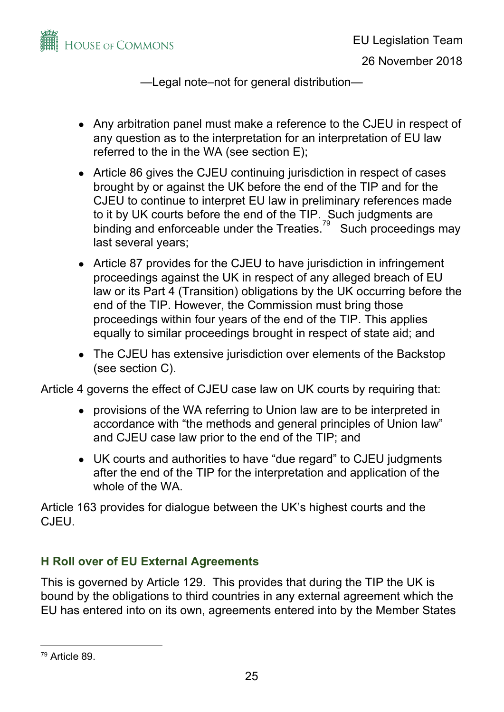

- Any arbitration panel must make a reference to the CJEU in respect of any question as to the interpretation for an interpretation of EU law referred to the in the WA (see section E);
- Article 86 gives the CJEU continuing jurisdiction in respect of cases brought by or against the UK before the end of the TIP and for the CJEU to continue to interpret EU law in preliminary references made to it by UK courts before the end of the TIP. Such judgments are binding and enforceable under the Treaties.<sup>79</sup> Such proceedings may last several years;
- Article 87 provides for the CJEU to have jurisdiction in infringement proceedings against the UK in respect of any alleged breach of EU law or its Part 4 (Transition) obligations by the UK occurring before the end of the TIP. However, the Commission must bring those proceedings within four years of the end of the TIP. This applies equally to similar proceedings brought in respect of state aid; and
- The CJEU has extensive jurisdiction over elements of the Backstop (see section C).

Article 4 governs the effect of CJEU case law on UK courts by requiring that:

- provisions of the WA referring to Union law are to be interpreted in accordance with "the methods and general principles of Union law" and CJEU case law prior to the end of the TIP; and
- UK courts and authorities to have "due regard" to CJEU judgments after the end of the TIP for the interpretation and application of the whole of the WA.

Article 163 provides for dialogue between the UK's highest courts and the CJEU.

# **H Roll over of EU External Agreements**

This is governed by Article 129. This provides that during the TIP the UK is bound by the obligations to third countries in any external agreement which the EU has entered into on its own, agreements entered into by the Member States

<sup>79</sup> Article 89.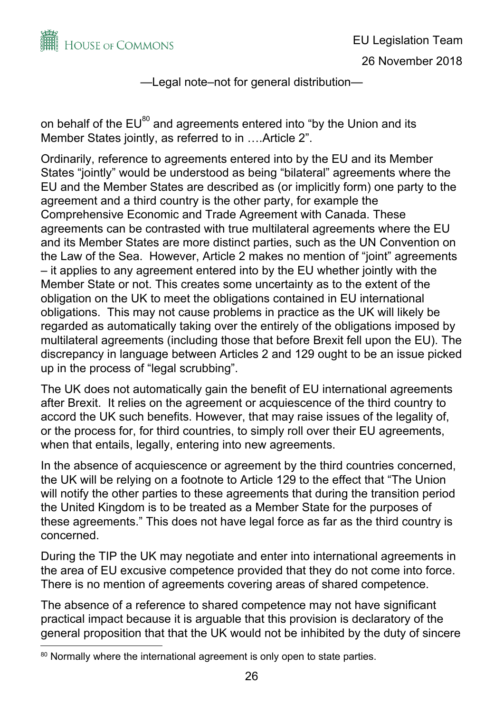

on behalf of the EU $^{80}$  and agreements entered into "by the Union and its Member States jointly, as referred to in ….Article 2".

Ordinarily, reference to agreements entered into by the EU and its Member States "jointly" would be understood as being "bilateral" agreements where the EU and the Member States are described as (or implicitly form) one party to the agreement and a third country is the other party, for example the Comprehensive Economic and Trade Agreement with Canada. These agreements can be contrasted with true multilateral agreements where the EU and its Member States are more distinct parties, such as the UN Convention on the Law of the Sea. However, Article 2 makes no mention of "joint" agreements – it applies to any agreement entered into by the EU whether jointly with the Member State or not. This creates some uncertainty as to the extent of the obligation on the UK to meet the obligations contained in EU international obligations. This may not cause problems in practice as the UK will likely be regarded as automatically taking over the entirely of the obligations imposed by multilateral agreements (including those that before Brexit fell upon the EU). The discrepancy in language between Articles 2 and 129 ought to be an issue picked up in the process of "legal scrubbing".

The UK does not automatically gain the benefit of EU international agreements after Brexit. It relies on the agreement or acquiescence of the third country to accord the UK such benefits. However, that may raise issues of the legality of, or the process for, for third countries, to simply roll over their EU agreements, when that entails, legally, entering into new agreements.

In the absence of acquiescence or agreement by the third countries concerned, the UK will be relying on a footnote to Article 129 to the effect that "The Union will notify the other parties to these agreements that during the transition period the United Kingdom is to be treated as a Member State for the purposes of these agreements." This does not have legal force as far as the third country is concerned.

During the TIP the UK may negotiate and enter into international agreements in the area of EU excusive competence provided that they do not come into force. There is no mention of agreements covering areas of shared competence.

The absence of a reference to shared competence may not have significant practical impact because it is arguable that this provision is declaratory of the general proposition that that the UK would not be inhibited by the duty of sincere

<sup>&</sup>lt;sup>80</sup> Normally where the international agreement is only open to state parties.